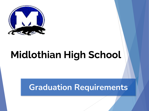

# **Midlothian High School**

### **Graduation Requirements**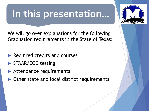## **In this presentation…**



We will go over explanations for the following Graduation requirements in the State of Texas:

- $\blacktriangleright$  Required credits and courses
- STAAR/EOC testing
- $\blacktriangleright$  Attendance requirements
- $\triangleright$  Other state and local district requirements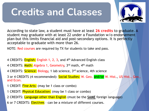## **Credits and Classes**



According to state law, a student must have at least **26 credits** to graduate. A student may graduate with at least 22 under a Foundation w/o endorsement plan-but this limits financial aid and post-secondary options. It is perfectly acceptable to graduate with more than 26.

NOTE: Red courses are required by TX for students to take and pass.

- 4 CREDITS: English: English 1, 2, 3, and 4<sup>th</sup> Advanced English class
- 4 CREDITS: Math: Algebra 1, Geometry, 3<sup>rd</sup> math, 4<sup>th</sup> math
- 4 CREDITS: Science: Biology, 1 lab science, 3<sup>rd</sup> science, 4th science

3 or 4 CREDITS (4 recommended): Social Studies: W. Geo. and/or W. Hist., US Hist., Gov., and Econ.

- 1 CREDIT: Fine Arts: (may be 1 class or combo)
- 1 CREDIT: **Physical Education:** (may be 1 class or combo)
- 2 CREDITS: Language other than English (must be the **SAME** foreign language)
- 6 or 7 CREDITS: Electives can be a mixture of different courses.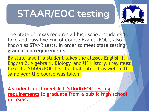# **STAAR/EOC testing**



The State of Texas requires all high school students to take and pass five End of Course Exams (EOC), also known as STAAR tests, in order to meet state testing **graduation requirements**.

By state law, if a student takes the classes English 1, English 2, Algebra 1, Biology, and US History, they must take the STAAR/EOC test for that subject as well in the same year the course was taken.

**A student must meet ALL STAAR/EOC testing requirements to graduate from a public high school in Texas.**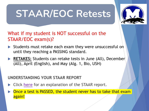# **STAAR/EOC Retests**



#### What i[f my](https://www.texasassessment.gov/~/media/Project/Client%20Portals/Texas/PDF/Report%20Cards/report-card-walkthrough/report-card-staar) student is NOT successful on the STAAR/EOC exam(s)?

- Students must retake each exam they were unsuccessful on until they reaching a PASSING standard.
- **RETAKES:** Students can retake tests in June (All), December (All), April (English), and May (Alg. 1, Bio, USH)

#### **UNDERSTANDING YOUR STAAR REPORT**

- **EXTERGHEER** Click here for an explanation of the STAAR report.
- Once a test is PASSED, the student never has to take that examagain!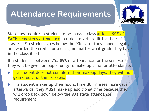### **Attendance Requirements**



State law requires a student to be in each class at least 90% of EACH semester's attendance in order to get credit for their classes. IF a student goes below the 90% rate, they cannot legally be awarded the credit for a class, no matter what grade they have in the class itself.

If a student is between 75%-89% of attendance for the semester, they will be given an opportunity to make up time for attendance.

- $\triangleright$  If a student does not complete their makeup days, they will not gain credit for their classes.
- $\blacktriangleright$  If a student makes up their hours/time BUT misses more days afterwards, they MUST make up additional time because they will drop back down below the 90% state attendance requirement.